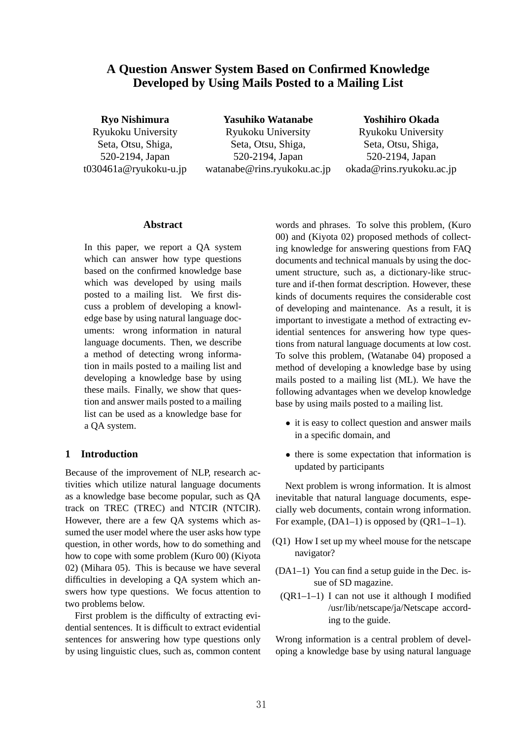# **A Question Answer System Based on Confirmed Knowledge Developed by Using Mails Posted to a Mailing List**

**Ryo Nishimura** Ryukoku University Seta, Otsu, Shiga, 520-2194, Japan t030461a@ryukoku-u.jp

**Yasuhiko Watanabe** Ryukoku University Seta, Otsu, Shiga, 520-2194, Japan watanabe@rins.ryukoku.ac.jp **Yoshihiro Okada**

Ryukoku University Seta, Otsu, Shiga, 520-2194, Japan okada@rins.ryukoku.ac.jp

#### **Abstract**

In this paper, we report a QA system which can answer how type questions based on the confirmed knowledge base which was developed by using mails posted to a mailing list. We first discuss a problem of developing a knowledge base by using natural language documents: wrong information in natural language documents. Then, we describe a method of detecting wrong information in mails posted to a mailing list and developing a knowledge base by using these mails. Finally, we show that question and answer mails posted to a mailing list can be used as a knowledge base for a QA system.

### **1 Introduction**

Because of the improvement of NLP, research activities which utilize natural language documents as a knowledge base become popular, such as QA track on TREC (TREC) and NTCIR (NTCIR). However, there are a few QA systems which assumed the user model where the user asks how type question, in other words, how to do something and how to cope with some problem (Kuro 00) (Kiyota 02) (Mihara 05). This is because we have several difficulties in developing a QA system which answers how type questions. We focus attention to two problems below.

First problem is the difficulty of extracting evidential sentences. It is difficult to extract evidential sentences for answering how type questions only by using linguistic clues, such as, common content words and phrases. To solve this problem, (Kuro 00) and (Kiyota 02) proposed methods of collecting knowledge for answering questions from FAQ documents and technical manuals by using the document structure, such as, a dictionary-like structure and if-then format description. However, these kinds of documents requires the considerable cost of developing and maintenance. As a result, it is important to investigate a method of extracting evidential sentences for answering how type questions from natural language documents at low cost. To solve this problem, (Watanabe 04) proposed a method of developing a knowledge base by using mails posted to a mailing list (ML). We have the following advantages when we develop knowledge base by using mails posted to a mailing list.

- it is easy to collect question and answer mails in a specific domain, and
- *•* there is some expectation that information is updated by participants

Next problem is wrong information. It is almost inevitable that natural language documents, especially web documents, contain wrong information. For example,  $(DA1-1)$  is opposed by  $(QR1-1-1)$ .

- (Q1) How I set up my wheel mouse for the netscape navigator?
- (DA1–1) You can find a setup guide in the Dec. issue of SD magazine.
- (QR1–1–1) I can not use it although I modified /usr/lib/netscape/ja/Netscape according to the guide.

Wrong information is a central problem of developing a knowledge base by using natural language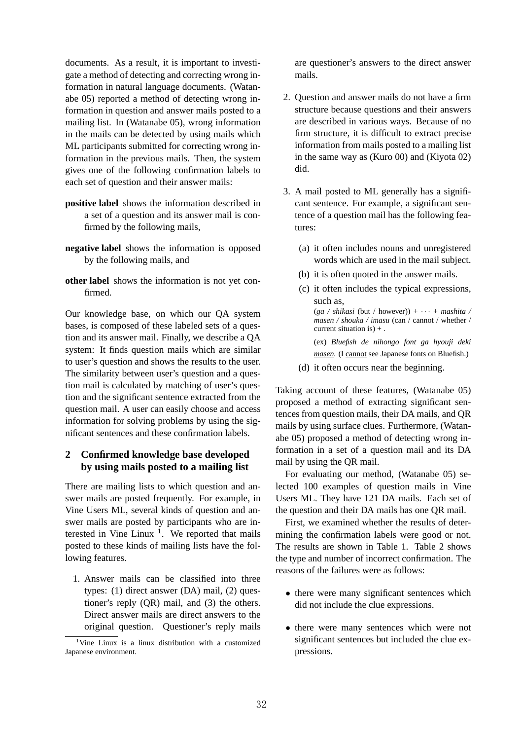documents. As a result, it is important to investigate a method of detecting and correcting wrong information in natural language documents. (Watanabe 05) reported a method of detecting wrong information in question and answer mails posted to a mailing list. In (Watanabe 05), wrong information in the mails can be detected by using mails which ML participants submitted for correcting wrong information in the previous mails. Then, the system gives one of the following confirmation labels to each set of question and their answer mails:

- **positive label** shows the information described in a set of a question and its answer mail is confirmed by the following mails,
- **negative label** shows the information is opposed by the following mails, and
- **other label** shows the information is not yet confirmed.

Our knowledge base, on which our QA system bases, is composed of these labeled sets of a question and its answer mail. Finally, we describe a QA system: It finds question mails which are similar to user's question and shows the results to the user. The similarity between user's question and a question mail is calculated by matching of user's question and the significant sentence extracted from the question mail. A user can easily choose and access information for solving problems by using the significant sentences and these confirmation labels.

## **2 Confirmed knowledge base developed by using mails posted to a mailing list**

There are mailing lists to which question and answer mails are posted frequently. For example, in Vine Users ML, several kinds of question and answer mails are posted by participants who are interested in Vine Linux  $1$ . We reported that mails posted to these kinds of mailing lists have the following features.

1. Answer mails can be classified into three types: (1) direct answer (DA) mail, (2) questioner's reply (QR) mail, and (3) the others. Direct answer mails are direct answers to the original question. Questioner's reply mails are questioner's answers to the direct answer mails.

- 2. Question and answer mails do not have a firm structure because questions and their answers are described in various ways. Because of no firm structure, it is difficult to extract precise information from mails posted to a mailing list in the same way as (Kuro 00) and (Kiyota 02) did.
- 3. A mail posted to ML generally has a significant sentence. For example, a significant sentence of a question mail has the following features:
	- (a) it often includes nouns and unregistered words which are used in the mail subject.
	- (b) it is often quoted in the answer mails.
	- (c) it often includes the typical expressions, such as,

 $(ga / shikasi$  (but / however)) +  $\cdots$  + *mashita* / *masen / shouka / imasu* (can / cannot / whether / current situation is) + .

(ex) *Bluefish de nihongo font ga hyouji deki masen.* (I cannot see Japanese fonts on Bluefish.)

(d) it often occurs near the beginning.

Taking account of these features, (Watanabe 05) proposed a method of extracting significant sentences from question mails, their DA mails, and QR mails by using surface clues. Furthermore, (Watanabe 05) proposed a method of detecting wrong information in a set of a question mail and its DA mail by using the QR mail.

For evaluating our method, (Watanabe 05) selected 100 examples of question mails in Vine Users ML. They have 121 DA mails. Each set of the question and their DA mails has one QR mail.

First, we examined whether the results of determining the confirmation labels were good or not. The results are shown in Table 1. Table 2 shows the type and number of incorrect confirmation. The reasons of the failures were as follows:

- there were many significant sentences which did not include the clue expressions.
- *•* there were many sentences which were not significant sentences but included the clue expressions.

<sup>&</sup>lt;sup>1</sup>Vine Linux is a linux distribution with a customized Japanese environment.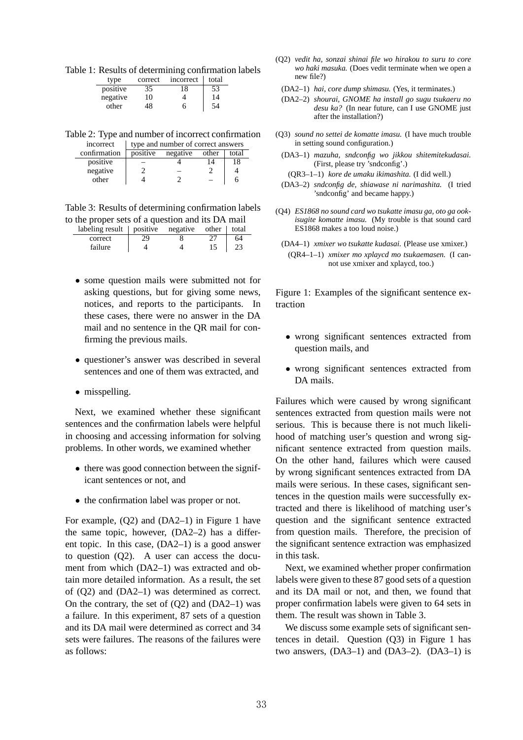Table 1: Results of determining confirmation labels

| type     | correct | incorrect | total |
|----------|---------|-----------|-------|
| positive | 35      | 18        | 53    |
| negative | 10      |           | 14    |
| other    | 18      | h         |       |

Table 2: Type and number of incorrect confirmation incorrect  $\frac{1}{1}$  type and number of correct answers

|              | e, pe and hannoer or correct and weight |          |       |       |
|--------------|-----------------------------------------|----------|-------|-------|
| confirmation | positive                                | negative | other | total |
| positive     |                                         |          |       |       |
| negative     |                                         |          |       |       |
| other        |                                         |          |       |       |
|              |                                         |          |       |       |

Table 3: Results of determining confirmation labels to the proper sets of a question and its DA mail

| $labeling result$   positive negative other   total |    |  |    |
|-----------------------------------------------------|----|--|----|
| correct                                             | 29 |  | 64 |
| failure                                             |    |  |    |

- *•* some question mails were submitted not for asking questions, but for giving some news, notices, and reports to the participants. In these cases, there were no answer in the DA mail and no sentence in the QR mail for confirming the previous mails.
- *•* questioner's answer was described in several sentences and one of them was extracted, and
- *•* misspelling.

Next, we examined whether these significant sentences and the confirmation labels were helpful in choosing and accessing information for solving problems. In other words, we examined whether

- there was good connection between the significant sentences or not, and
- the confirmation label was proper or not.

For example, (Q2) and (DA2–1) in Figure 1 have the same topic, however, (DA2–2) has a different topic. In this case, (DA2–1) is a good answer to question (Q2). A user can access the document from which (DA2–1) was extracted and obtain more detailed information. As a result, the set of (Q2) and (DA2–1) was determined as correct. On the contrary, the set of  $(Q2)$  and  $(DA2-1)$  was a failure. In this experiment, 87 sets of a question and its DA mail were determined as correct and 34 sets were failures. The reasons of the failures were as follows:

- (Q2) *vedit ha, sonzai shinai file wo hirakou to suru to core wo haki masuka.* (Does vedit terminate when we open a new file?)
	- (DA2–1) *hai, core dump shimasu.* (Yes, it terminates.)
	- (DA2–2) *shourai, GNOME ha install go sugu tsukaeru no desu ka?* (In near future, can I use GNOME just after the installation?)
- (Q3) *sound no settei de komatte imasu.* (I have much trouble in setting sound configuration.)
	- (DA3–1) *mazuha, sndconfig wo jikkou shitemitekudasai.* (First, please try 'sndconfig'.)
		- (QR3–1–1) *kore de umaku ikimashita.* (I did well.)
	- (DA3–2) *sndconfig de, shiawase ni narimashita.* (I tried 'sndconfig' and became happy.)
- (Q4) *ES1868 no sound card wo tsukatte imasu ga, oto ga ookisugite komatte imasu.* (My trouble is that sound card ES1868 makes a too loud noise.)
	- (DA4–1) *xmixer wo tsukatte kudasai.* (Please use xmixer.) (QR4–1–1) *xmixer mo xplaycd mo tsukaemasen.* (I cannot use xmixer and xplaycd, too.)

Figure 1: Examples of the significant sentence extraction

- *•* wrong significant sentences extracted from question mails, and
- *•* wrong significant sentences extracted from DA mails.

Failures which were caused by wrong significant sentences extracted from question mails were not serious. This is because there is not much likelihood of matching user's question and wrong significant sentence extracted from question mails. On the other hand, failures which were caused by wrong significant sentences extracted from DA mails were serious. In these cases, significant sentences in the question mails were successfully extracted and there is likelihood of matching user's question and the significant sentence extracted from question mails. Therefore, the precision of the significant sentence extraction was emphasized in this task.

Next, we examined whether proper confirmation labels were given to these 87 good sets of a question and its DA mail or not, and then, we found that proper confirmation labels were given to 64 sets in them. The result was shown in Table 3.

We discuss some example sets of significant sentences in detail. Question (Q3) in Figure 1 has two answers,  $(DA3-1)$  and  $(DA3-2)$ .  $(DA3-1)$  is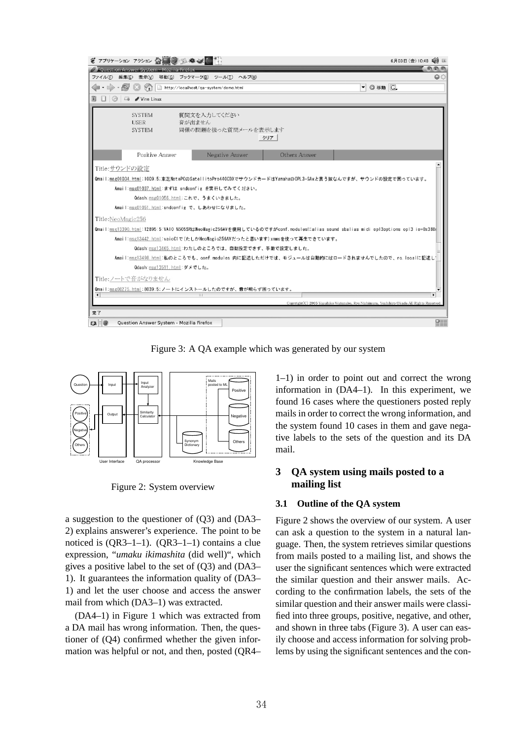

Figure 3: A QA example which was generated by our system



Figure 2: System overview

a suggestion to the questioner of (Q3) and (DA3– 2) explains answerer's experience. The point to be noticed is (QR3–1–1). (QR3–1–1) contains a clue expression, "*umaku ikimashita* (did well)", which gives a positive label to the set of (Q3) and (DA3– 1). It guarantees the information quality of (DA3– 1) and let the user choose and access the answer mail from which (DA3–1) was extracted.

(DA4–1) in Figure 1 which was extracted from a DA mail has wrong information. Then, the questioner of (Q4) confirmed whether the given information was helpful or not, and then, posted (QR4– 1–1) in order to point out and correct the wrong information in (DA4–1). In this experiment, we found 16 cases where the questioners posted reply mails in order to correct the wrong information, and the system found 10 cases in them and gave negative labels to the sets of the question and its DA mail.

# **3 QA system using mails posted to a mailing list**

### **3.1 Outline of the QA system**

Figure 2 shows the overview of our system. A user can ask a question to the system in a natural language. Then, the system retrieves similar questions from mails posted to a mailing list, and shows the user the significant sentences which were extracted the similar question and their answer mails. According to the confirmation labels, the sets of the similar question and their answer mails were classified into three groups, positive, negative, and other, and shown in three tabs (Figure 3). A user can easily choose and access information for solving problems by using the significant sentences and the con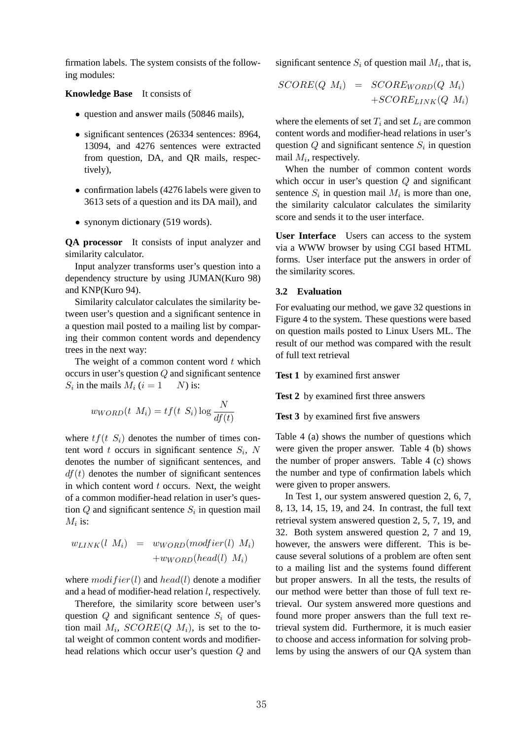firmation labels. The system consists of the following modules:

#### **Knowledge Base** It consists of

- *•* question and answer mails (50846 mails),
- significant sentences (26334 sentences: 8964, 13094, and 4276 sentences were extracted from question, DA, and QR mails, respectively),
- confirmation labels (4276 labels were given to 3613 sets of a question and its DA mail), and
- synonym dictionary (519 words).

**QA processor** It consists of input analyzer and similarity calculator.

Input analyzer transforms user's question into a dependency structure by using JUMAN(Kuro 98) and KNP(Kuro 94).

Similarity calculator calculates the similarity between user's question and a significant sentence in a question mail posted to a mailing list by comparing their common content words and dependency trees in the next way:

The weight of a common content word *t* which occurs in user's question and significant sentence *S* in the mails *M*  $(i = 1 \quad N)$  is:

$$
w_{WORD}(t\ M) = t\ (t\ S)\ \frac{N}{d\ (t)}
$$

where  $t$  ( $t$   $S$ ) denotes the number of times content word *t* occurs in significant sentence *S* , *N* denotes the number of significant sentences, and  $d(t)$  denotes the number of significant sentences in which content word *t* occurs. Next, the weight of a common modifier-head relation in user's question and significant sentence *S* in question mail *M* is:

$$
w_{LINK}(l\ M)\ =\ w_{WORD}(d\ier(l)\ M)\\ +w_{WORD}(head(l)\ M)
$$

where  $di \,$  *ier*(*l*) and *head*(*l*) denote a modifier and a head of modifier-head relation *l*, respectively.

Therefore, the similarity score between user's question and significant sentence *S* of question mail M,  $SCO$   $E(\t M)$ , is set to the total weight of common content words and modifierhead relations which occur user's question and significant sentence  $S$  of question mail  $M$ , that is,

$$
SCO E(M) = SCO E_{WORD}(M)
$$
  
+
$$
+SCO E_{LINK}(M)
$$

where the elements of set *T* and set *L* are common content words and modifier-head relations in user's question and significant sentence *S* in question mail *M* , respectively.

When the number of common content words which occur in user's question and significant sentence *S* in question mail *M* is more than one, the similarity calculator calculates the similarity score and sends it to the user interface.

**User Interface** Users can access to the system via a WWW browser by using CGI based HTML forms. User interface put the answers in order of the similarity scores.

### **3.2 Evaluation**

For evaluating our method, we gave 32 questions in Figure 4 to the system. These questions were based on question mails posted to Linux Users ML. The result of our method was compared with the result of full text retrieval

**Test 1** by examined first answer

**Test 2** by examined first three answers

**Test 3** by examined first five answers

Table 4 (a) shows the number of questions which were given the proper answer. Table 4 (b) shows the number of proper answers. Table 4 (c) shows the number and type of confirmation labels which were given to proper answers.

In Test 1, our system answered question 2, 6, 7, 8, 13, 14, 15, 19, and 24. In contrast, the full text retrieval system answered question 2, 5, 7, 19, and 32. Both system answered question 2, 7 and 19, however, the answers were different. This is because several solutions of a problem are often sent to a mailing list and the systems found different but proper answers. In all the tests, the results of our method were better than those of full text retrieval. Our system answered more questions and found more proper answers than the full text retrieval system did. Furthermore, it is much easier to choose and access information for solving problems by using the answers of our QA system than